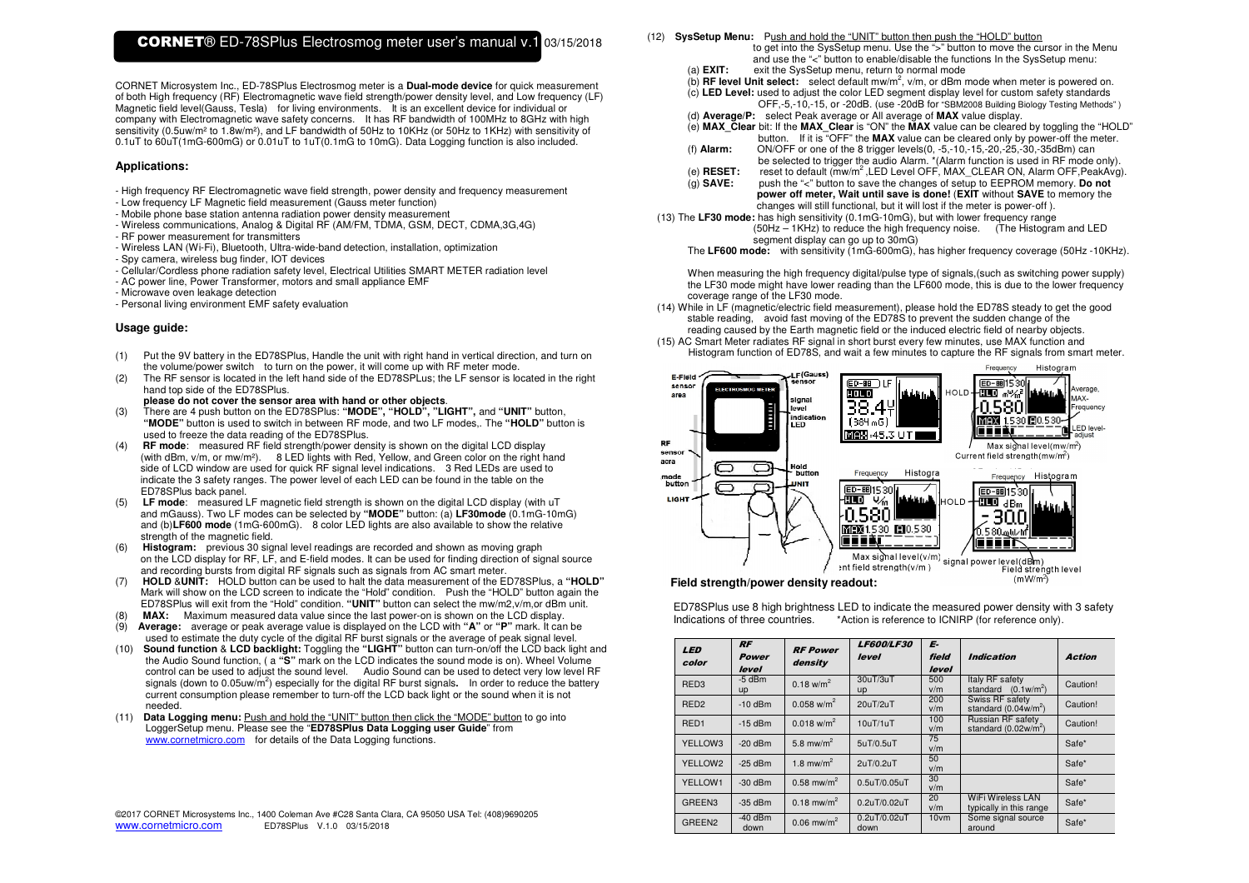CORNET Microsystem Inc., ED-78SPlus Electrosmog meter is a **Dual-mode device** for quick measurement of both High frequency (RF) Electromagnetic wave field strength/power density level, and Low frequency (LF) Magnetic field level(Gauss, Tesla) for living environments. It is an excellent device for individual or company with Electromagnetic wave safety concerns. It has RF bandwidth of 100MHz to 8GHz with high sensitivity (0.5uw/m² to 1.8w/m²), and LF bandwidth of 50Hz to 10KHz (or 50Hz to 1KHz) with sensitivity of 0.1uT to 60uT(1mG-600mG) or 0.01uT to 1uT(0.1mG to 10mG). Data Logging function is also included.

#### **Applications:**

- High frequency RF Electromagnetic wave field strength, power density and frequency measurement - Low frequency LF Magnetic field measurement (Gauss meter function)
- Mobile phone base station antenna radiation power density measurement
- Wireless communications, Analog & Digital RF (AM/FM, TDMA, GSM, DECT, CDMA,3G,4G)
- RF power measurement for transmitters
- Wireless LAN (Wi-Fi), Bluetooth, Ultra-wide-band detection, installation, optimization
- Spy camera, wireless bug finder, IOT devices
- Cellular/Cordless phone radiation safety level, Electrical Utilities SMART METER radiation level
- AC power line, Power Transformer, motors and small appliance EMF
- Microwave oven leakage detection
- Personal living environment EMF safety evaluation

## **Usage guide:**

- (1) Put the 9V battery in the ED78SPlus, Handle the unit with right hand in vertical direction, and turn on the volume/power switch to turn on the power, it will come up with RF meter mode.
- (2) The RF sensor is located in the left hand side of the ED78SPLus; the LF sensor is located in the right hand top side of the ED78SPlus.
	- **please do not cover the sensor area with hand or other objects**.
- (3) There are 4 push button on the ED78SPlus: **"MODE", "HOLD", "LIGHT",** and **"UNIT"** button, **"MODE"** button is used to switch in between RF mode, and two LF modes,. The **"HOLD"** button is used to freeze the data reading of the ED78SPlus.
- (4) **RF mode**: measured RF field strength/power density is shown on the digital LCD display (with dBm, v/m, or mw/m²). 8 LED lights with Red, Yellow, and Green color on the right hand side of LCD window are used for quick RF signal level indications. 3 Red LEDs are used to indicate the 3 safety ranges. The power level of each LED can be found in the table on the ED78SPlus back panel.
- (5) **LF mode**: measured LF magnetic field strength is shown on the digital LCD display (with uT and mGauss). Two LF modes can be selected by **"MODE"** button: (a) **LF30mode** (0.1mG-10mG) and (b)**LF600 mode** (1mG-600mG). 8 color LED lights are also available to show the relative strength of the magnetic field.
- (6) **Histogram:** previous 30 signal level readings are recorded and shown as moving graph on the LCD display for RF, LF, and E-field modes. It can be used for finding direction of signal source and recording bursts from digital RF signals such as signals from AC smart meter.
- (7) **HOLD** &**UNIT:** HOLD button can be used to halt the data measurement of the ED78SPlus, a **"HOLD"** Mark will show on the LCD screen to indicate the "Hold" condition. Push the "HOLD" button again the ED78SPlus will exit from the "Hold" condition. **"UNIT"** button can select the mw/m2,v/m,or dBm unit.
- (8) **MAX:** Maximum measured data value since the last power-on is shown on the LCD display.
- (9) **Average:** average or peak average value is displayed on the LCD with **"A"** or **"P"** mark. It can be used to estimate the duty cycle of the digital RF burst signals or the average of peak signal level.
- (10) **Sound function** & **LCD backlight:** Toggling the **"LIGHT"** button can turn-on/off the LCD back light and the Audio Sound function, ( a **"S"** mark on the LCD indicates the sound mode is on). Wheel Volume control can be used to adjust the sound level. Audio Sound can be used to detect very low level RF signals (down to 0.05uw/m<sup>2</sup>) especially for the digital RF burst signals. In order to reduce the battery current consumption please remember to turn-off the LCD back light or the sound when it is not needed.
- (11) **Data Logging menu:** Push and hold the "UNIT" button then click the "MODE" button to go into LoggerSetup menu. Please see the "**ED78SPlus Data Logging user Guide**" from www.cornetmicro.com for details of the Data Logging functions.

|                     |  | @2017 CORNET Microsystems Inc., 1400 Coleman Ave #C28 Santa Clara, CA 95050 USA Tel: (408)9690205 |
|---------------------|--|---------------------------------------------------------------------------------------------------|
| www.cornetmicro.com |  | ED78SPlus V.1.0 03/15/2018                                                                        |

### (12) **SysSetup Menu:** Push and hold the "UNIT" button then push the "HOLD" button

- to get into the SysSetup menu. Use the ">" button to move the cursor in the Menu and use the "<" button to enable/disable the functions In the SysSetup menu: (a) **EXIT:** exit the SysSetup menu, return to normal mode
	-
	- (b) **RF level Unit select:** select default mw/m2, v/m, or dBm mode when meter is powered on.
	- (c) **LED Level:** used to adjust the color LED segment display level for custom safety standards OFF,-5,-10,-15, or -20dB. (use -20dB for "SBM2008 Building Biology Testing Methods" )
	- (d) **Average/P:** select Peak average or All average of **MAX** value display.
- (e) **MAX\_Clear** bit: If the **MAX\_Clear** is "ON" the **MAX** value can be cleared by toggling the "HOLD" button. If it is "OFF" the **MAX** value can be cleared only by power-off the meter.
	- (f) **Alarm:** ON/OFF or one of the 8 trigger levels(0, -5,-10,-15,-20,-25,-30,-35dBm) can be selected to trigger the audio Alarm. \*(Alarm function is used in RF mode only).
	- (e) **RESET:** reset to default (mw/m<sup>2</sup>,LED Level OFF, MAX\_CLEAR ON, Alarm OFF,PeakAvg).
	- (g) **SAVE:** push the "<" button to save the changes of setup to EEPROM memory. **Do not power off meter, Wait until save is done!** (**EXIT** without **SAVE** to memory the changes will still functional, but it will lost if the meter is power-off ).
- (13) The **LF30 mode:** has high sensitivity (0.1mG-10mG), but with lower frequency range (50Hz – 1KHz) to reduce the high frequency noise. (The Histogram and LED segment display can go up to 30mG)
	- The **LF600 mode:** with sensitivity (1mG-600mG), has higher frequency coverage (50Hz -10KHz).

When measuring the high frequency digital/pulse type of signals, (such as switching power supply) the LF30 mode might have lower reading than the LF600 mode, this is due to the lower frequency coverage range of the LF30 mode.

- (14) While in LF (magnetic/electric field measurement), please hold the ED78S steady to get the good stable reading, avoid fast moving of the ED78S to prevent the sudden change of the reading caused by the Earth magnetic field or the induced electric field of nearby objects.
- (15) AC Smart Meter radiates RF signal in short burst every few minutes, use MAX function and Histogram function of ED78S, and wait a few minutes to capture the RF signals from smart meter.



ED78SPlus use 8 high brightness LED to indicate the measured power density with 3 safety Indications of three countries. \*Action is reference to ICNIRP (for reference only).

| <b>LED</b><br>color | <b>RF</b><br><b>Power</b><br>level | <b>RF Power</b><br>density        | <b>LF600/LF30</b><br>level | E-<br>field<br>level | <i><b>Indication</b></i>                            | Action   |
|---------------------|------------------------------------|-----------------------------------|----------------------------|----------------------|-----------------------------------------------------|----------|
| RED <sub>3</sub>    | $-5$ dBm<br><b>up</b>              | $0.18 \text{ w/m}^2$              | 30uT/3uT<br><b>up</b>      | 500<br>v/m           | Italy RF safety<br>standard $(0.1w/m^2)$            | Caution! |
| RED <sub>2</sub>    | $-10$ dBm                          | $0.058$ w/m <sup>2</sup>          | $20 \mu T / 2 \mu T$       | 200<br>v/m           | Swiss RF safety<br>standard $(0.04w/m^2)$           | Caution! |
| RED <sub>1</sub>    | $-15$ dBm                          | $0.018$ w/m <sup>2</sup>          | 10uT/1uT                   | 100<br>v/m           | Russian RF safety<br>standard $(0.02w/m^2)$         | Caution! |
| YELLOW3             | $-20$ dBm                          | 5.8 mw/ $m2$                      | 5uT/0.5uT                  | 75<br>v/m            |                                                     | Safe*    |
| YELLOW2             | $-25$ dBm                          | 1.8 mw/m <sup>2</sup>             | 2uT/0.2uT                  | 50<br>v/m            |                                                     | Safe*    |
| YELLOW1             | $-30$ dBm                          | $0.58$ mw/m <sup>2</sup>          | 0.5uT/0.05uT               | 30<br>v/m            |                                                     | Safe*    |
| GREEN3              | $-35$ dBm                          | $0.18 \text{ m}$ w/m <sup>2</sup> | 0.2uT/0.02uT               | 20<br>v/m            | <b>WiFi Wireless LAN</b><br>typically in this range | Safe*    |
| GREEN <sub>2</sub>  | $-40$ dBm<br>down                  | $0.06$ mw/m <sup>2</sup>          | 0.2uT/0.02uT<br>down       | 10vm                 | Some signal source<br>around                        | Safe*    |